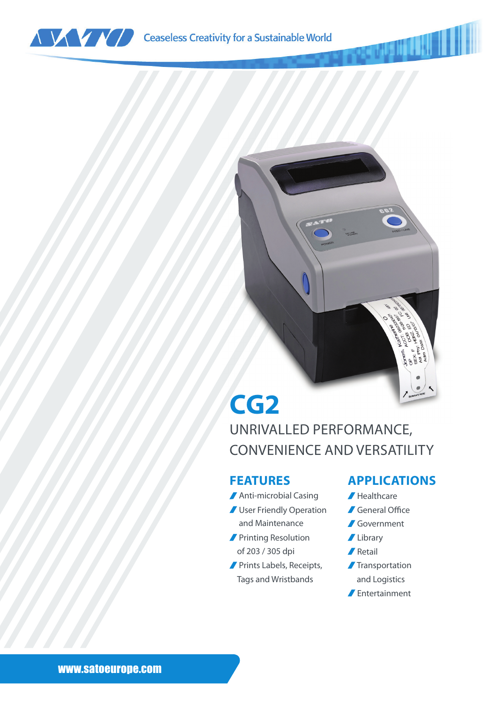



## **CG2**

UNRIVALLED PERFORMANCE, CONVENIENCE AND VERSATILITY

## **FEATURES**

- Anti-microbial Casing
- User Friendly Operation and Maintenance
- **Printing Resolution** of 203 / 305 dpi
- **Prints Labels, Receipts,** Tags and Wristbands

## **APPLICATIONS**

- Healthcare
- General Office
- Government
- Library
- **∕** Retail
- **Transportation** and Logistics
- Entertainment